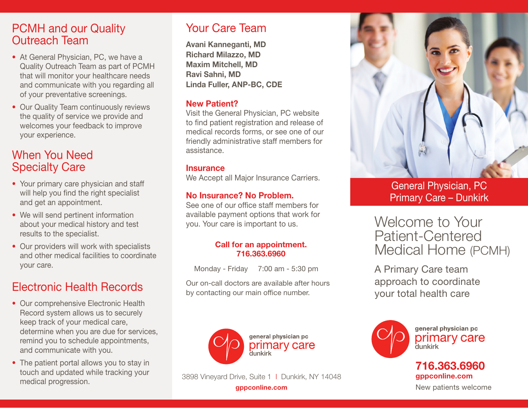### PCMH and our Quality Outreach Team

- At General Physician, PC, we have a Quality Outreach Team as part of PCMH that will monitor your healthcare needs and communicate with you regarding all of your preventative screenings.
- Our Quality Team continuously reviews the quality of service we provide and welcomes your feedback to improve your experience.

### When You Need Specialty Care

- Your primary care physician and staff will help you find the right specialist and get an appointment.
- We will send pertinent information about your medical history and test results to the specialist.
- Our providers will work with specialists and other medical facilities to coordinate your care.

# Electronic Health Records

- Our comprehensive Electronic Health Record system allows us to securely keep track of your medical care, determine when you are due for services, remind you to schedule appointments, and communicate with you.
- The patient portal allows you to stay in touch and updated while tracking your medical progression.

## Your Care Team

Avani Kanneganti, MD Richard Milazzo, MD Maxim Mitchell, MD Ravi Sahni, MD Linda Fuller, ANP-BC, CDE

#### New Patient?

Visit the General Physician, PC website to find patient registration and release of medical records forms, or see one of our friendly administrative staff members for assistance.

#### **Insurance**

We Accept all Major Insurance Carriers.

### No Insurance? No Problem.

See one of our office staff members for available payment options that work for you. Your care is important to us.

#### Call for an appointment. 716.363.6960

Monday - Friday 7:00 am - 5:30 pm

Our on-call doctors are available after hours by contacting our main office number.



3898 Vineyard Drive, Suite 1 I Dunkirk, NY 14048



General Physician, PC Primary Care – Dunkirk

Welcome to Your Patient-Centered Medical Home (PCMH)

A Primary Care team approach to coordinate your total health care



general physician pc primary care dunkirk

### 716.363.6960 gppconline.com

**gppconline.com** and the new patients welcome and the New patients welcome